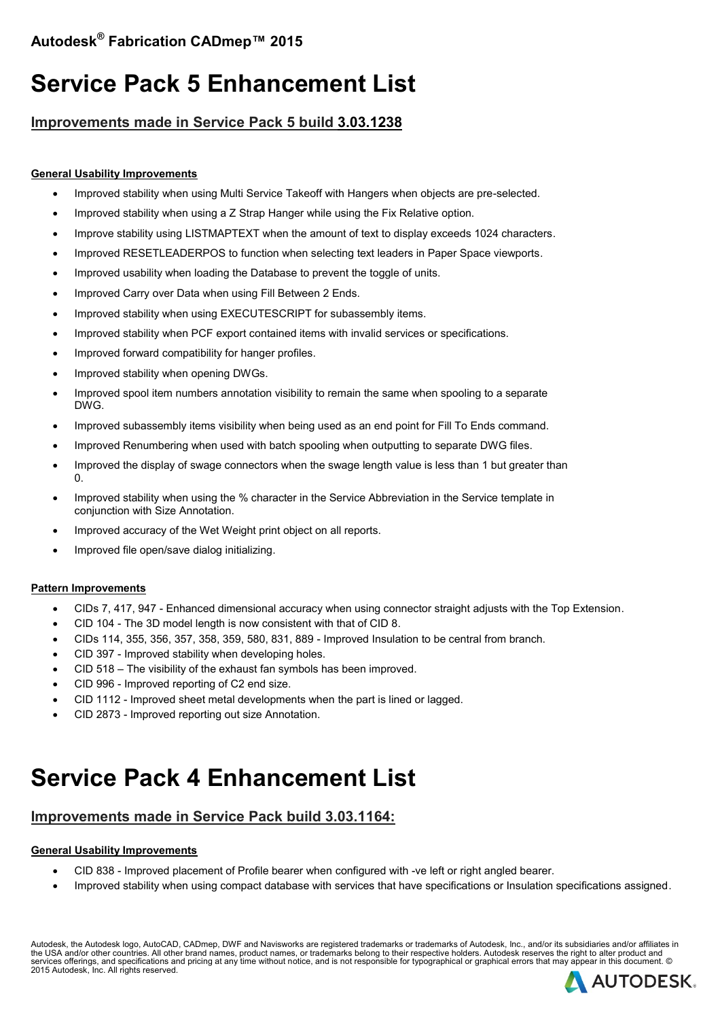# **Service Pack 5 Enhancement List**

### **Improvements made in Service Pack 5 build 3.03.1238**

#### **General Usability Improvements**

- Improved stability when using Multi Service Takeoff with Hangers when objects are pre-selected.
- Improved stability when using a Z Strap Hanger while using the Fix Relative option.
- Improve stability using LISTMAPTEXT when the amount of text to display exceeds 1024 characters.
- Improved RESETLEADERPOS to function when selecting text leaders in Paper Space viewports.
- Improved usability when loading the Database to prevent the toggle of units.
- Improved Carry over Data when using Fill Between 2 Ends.
- Improved stability when using EXECUTESCRIPT for subassembly items.
- Improved stability when PCF export contained items with invalid services or specifications.
- Improved forward compatibility for hanger profiles.
- Improved stability when opening DWGs.
- Improved spool item numbers annotation visibility to remain the same when spooling to a separate DWG.
- Improved subassembly items visibility when being used as an end point for Fill To Ends command.
- Improved Renumbering when used with batch spooling when outputting to separate DWG files.
- Improved the display of swage connectors when the swage length value is less than 1 but greater than  $\Omega$ .
- Improved stability when using the % character in the Service Abbreviation in the Service template in conjunction with Size Annotation.
- Improved accuracy of the Wet Weight print object on all reports.
- Improved file open/save dialog initializing.

#### **Pattern Improvements**

- CIDs 7, 417, 947 Enhanced dimensional accuracy when using connector straight adjusts with the Top Extension.
- CID 104 The 3D model length is now consistent with that of CID 8.
- CIDs 114, 355, 356, 357, 358, 359, 580, 831, 889 Improved Insulation to be central from branch.
- CID 397 Improved stability when developing holes.
- CID 518 The visibility of the exhaust fan symbols has been improved.
- CID 996 Improved reporting of C2 end size.
- CID 1112 Improved sheet metal developments when the part is lined or lagged.
- CID 2873 Improved reporting out size Annotation.

## **Service Pack 4 Enhancement List**

### **Improvements made in Service Pack build 3.03.1164:**

#### **General Usability Improvements**

- CID 838 Improved placement of Profile bearer when configured with -ve left or right angled bearer.
- Improved stability when using compact database with services that have specifications or Insulation specifications assigned.

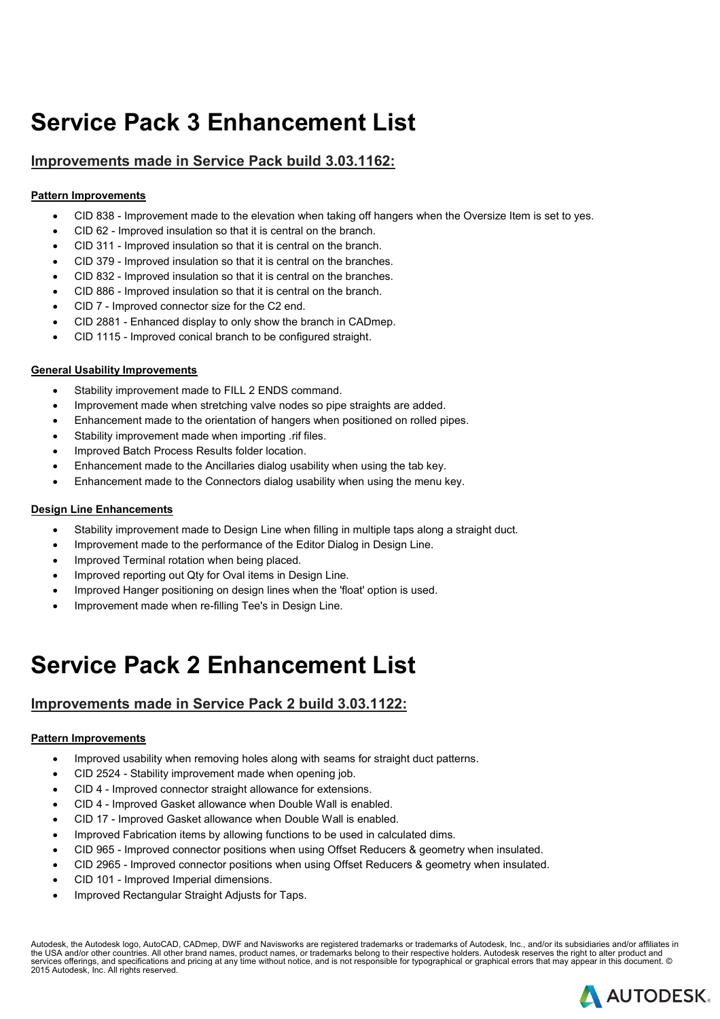# **Service Pack 3 Enhancement List**

### **Improvements made in Service Pack build 3.03.1162:**

#### **Pattern Improvements**

- CID 838 Improvement made to the elevation when taking off hangers when the Oversize Item is set to yes.
- CID 62 Improved insulation so that it is central on the branch.
- CID 311 Improved insulation so that it is central on the branch.
- CID 379 Improved insulation so that it is central on the branches.
- CID 832 Improved insulation so that it is central on the branches.
- CID 886 Improved insulation so that it is central on the branch.
- CID 7 Improved connector size for the C2 end.
- CID 2881 Enhanced display to only show the branch in CADmep.
- CID 1115 Improved conical branch to be configured straight.

#### **General Usability Improvements**

- Stability improvement made to FILL 2 ENDS command.
- Improvement made when stretching valve nodes so pipe straights are added.
- Enhancement made to the orientation of hangers when positioned on rolled pipes.
- Stability improvement made when importing .rif files.
- Improved Batch Process Results folder location.
- Enhancement made to the Ancillaries dialog usability when using the tab key.
- Enhancement made to the Connectors dialog usability when using the menu key.

#### **Design Line Enhancements**

- Stability improvement made to Design Line when filling in multiple taps along a straight duct.
- Improvement made to the performance of the Editor Dialog in Design Line.
- Improved Terminal rotation when being placed.
- Improved reporting out Qty for Oval items in Design Line.
- Improved Hanger positioning on design lines when the 'float' option is used.
- Improvement made when re-filling Tee's in Design Line.

## **Service Pack 2 Enhancement List**

## **Improvements made in Service Pack 2 build 3.03.1122:**

#### **Pattern Improvements**

- Improved usability when removing holes along with seams for straight duct patterns.
- CID 2524 Stability improvement made when opening job.
- CID 4 Improved connector straight allowance for extensions.
- CID 4 Improved Gasket allowance when Double Wall is enabled.
- CID 17 Improved Gasket allowance when Double Wall is enabled.
- Improved Fabrication items by allowing functions to be used in calculated dims.
- CID 965 Improved connector positions when using Offset Reducers & geometry when insulated.
- CID 2965 Improved connector positions when using Offset Reducers & geometry when insulated.
- CID 101 Improved Imperial dimensions.
- Improved Rectangular Straight Adjusts for Taps.

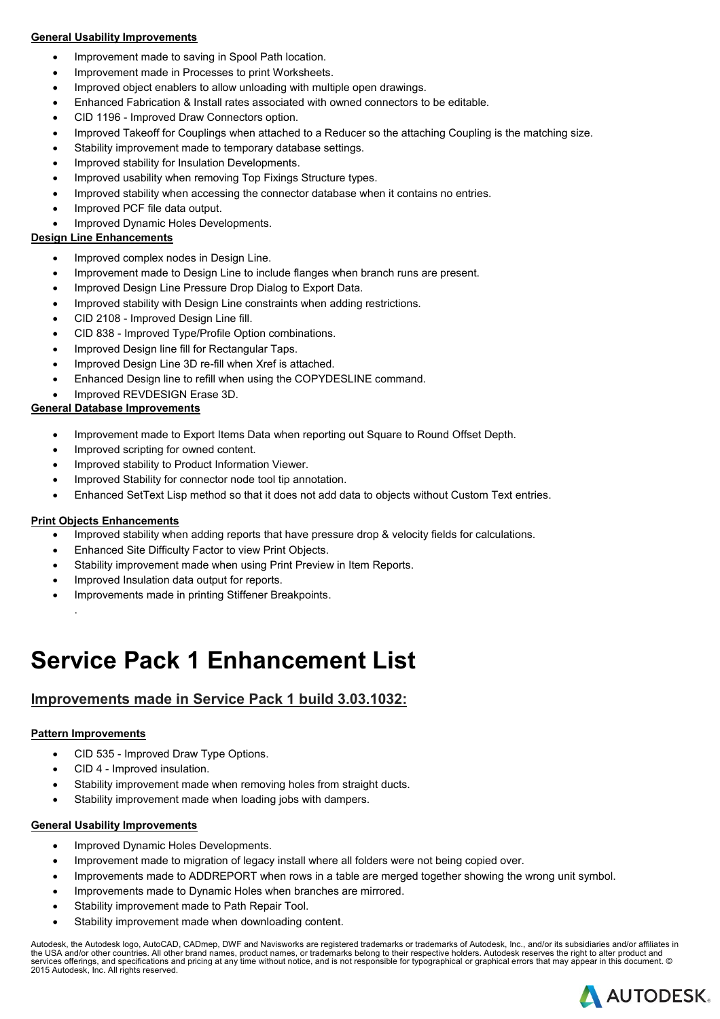#### **General Usability Improvements**

- Improvement made to saving in Spool Path location.
- Improvement made in Processes to print Worksheets.
- Improved object enablers to allow unloading with multiple open drawings.
- Enhanced Fabrication & Install rates associated with owned connectors to be editable.
- CID 1196 Improved Draw Connectors option.
- Improved Takeoff for Couplings when attached to a Reducer so the attaching Coupling is the matching size.
- Stability improvement made to temporary database settings.
- Improved stability for Insulation Developments.
- Improved usability when removing Top Fixings Structure types.
- Improved stability when accessing the connector database when it contains no entries.
- Improved PCF file data output.
- Improved Dynamic Holes Developments.

#### **Design Line Enhancements**

- Improved complex nodes in Design Line.
- Improvement made to Design Line to include flanges when branch runs are present.
- Improved Design Line Pressure Drop Dialog to Export Data.
- Improved stability with Design Line constraints when adding restrictions.
- CID 2108 Improved Design Line fill.
- CID 838 Improved Type/Profile Option combinations.
- Improved Design line fill for Rectangular Taps.
- Improved Design Line 3D re-fill when Xref is attached.
- Enhanced Design line to refill when using the COPYDESLINE command.
- Improved REVDESIGN Erase 3D.

#### **General Database Improvements**

- Improvement made to Export Items Data when reporting out Square to Round Offset Depth.
- Improved scripting for owned content.
- Improved stability to Product Information Viewer.
- Improved Stability for connector node tool tip annotation.
- Enhanced SetText Lisp method so that it does not add data to objects without Custom Text entries.

#### **Print Objects Enhancements**

- Improved stability when adding reports that have pressure drop & velocity fields for calculations.
- Enhanced Site Difficulty Factor to view Print Objects.
- Stability improvement made when using Print Preview in Item Reports.
- Improved Insulation data output for reports.
- Improvements made in printing Stiffener Breakpoints.
	- .

## **Service Pack 1 Enhancement List**

## **Improvements made in Service Pack 1 build 3.03.1032:**

#### **Pattern Improvements**

- CID 535 Improved Draw Type Options.
- CID 4 Improved insulation.
- Stability improvement made when removing holes from straight ducts.
- Stability improvement made when loading jobs with dampers.

#### **General Usability Improvements**

- Improved Dynamic Holes Developments.
- Improvement made to migration of legacy install where all folders were not being copied over.
- Improvements made to ADDREPORT when rows in a table are merged together showing the wrong unit symbol.
- Improvements made to Dynamic Holes when branches are mirrored.
- Stability improvement made to Path Repair Tool.
- Stability improvement made when downloading content.